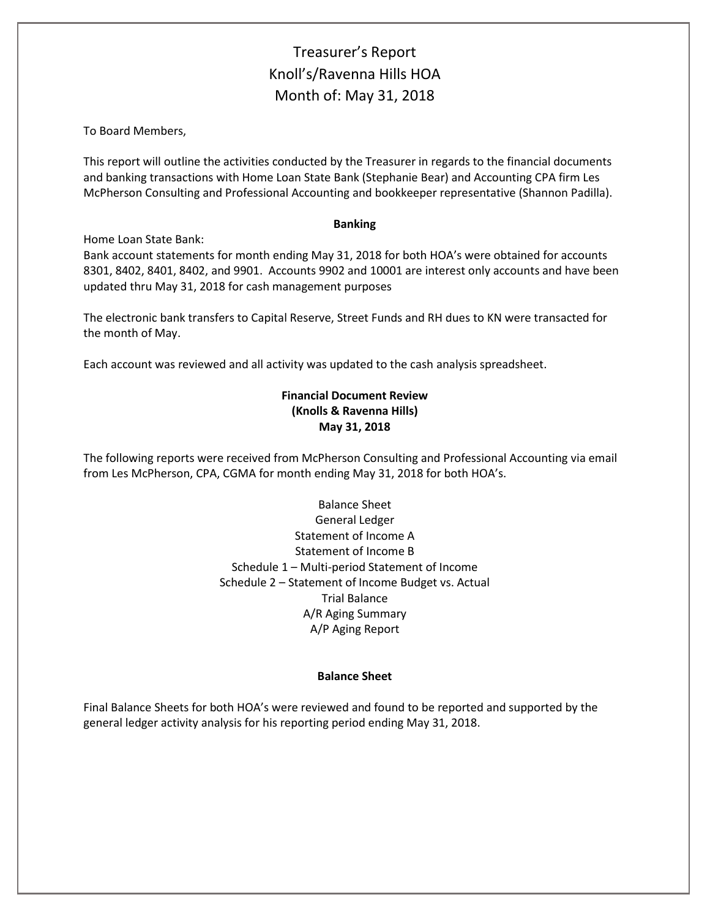# Treasurer's Report Knoll's/Ravenna Hills HOA Month of: May 31, 2018

To Board Members,

This report will outline the activities conducted by the Treasurer in regards to the financial documents and banking transactions with Home Loan State Bank (Stephanie Bear) and Accounting CPA firm Les McPherson Consulting and Professional Accounting and bookkeeper representative (Shannon Padilla).

#### **Banking**

Home Loan State Bank:

Bank account statements for month ending May 31, 2018 for both HOA's were obtained for accounts 8301, 8402, 8401, 8402, and 9901. Accounts 9902 and 10001 are interest only accounts and have been updated thru May 31, 2018 for cash management purposes

The electronic bank transfers to Capital Reserve, Street Funds and RH dues to KN were transacted for the month of May.

Each account was reviewed and all activity was updated to the cash analysis spreadsheet.

## **Financial Document Review (Knolls & Ravenna Hills) May 31, 2018**

The following reports were received from McPherson Consulting and Professional Accounting via email from Les McPherson, CPA, CGMA for month ending May 31, 2018 for both HOA's.

> Balance Sheet General Ledger Statement of Income A Statement of Income B Schedule 1 – Multi-period Statement of Income Schedule 2 – Statement of Income Budget vs. Actual Trial Balance A/R Aging Summary A/P Aging Report

### **Balance Sheet**

Final Balance Sheets for both HOA's were reviewed and found to be reported and supported by the general ledger activity analysis for his reporting period ending May 31, 2018.